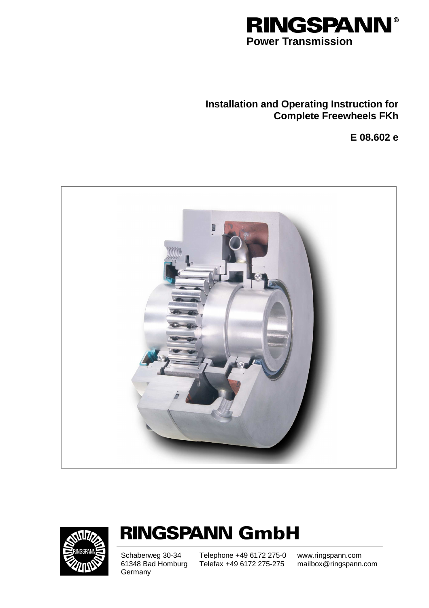

## **Installation and Operating Instruction for Complete Freewheels FKh**

**E 08.602 e** 





# **RINGSPANN GmbH**

Schaberweg 30-34 61348 Bad Homburg **Germany** 

Telephone +49 6172 275-0 Telefax +49 6172 275-275

www.ringspann.com mailbox@ringspann.com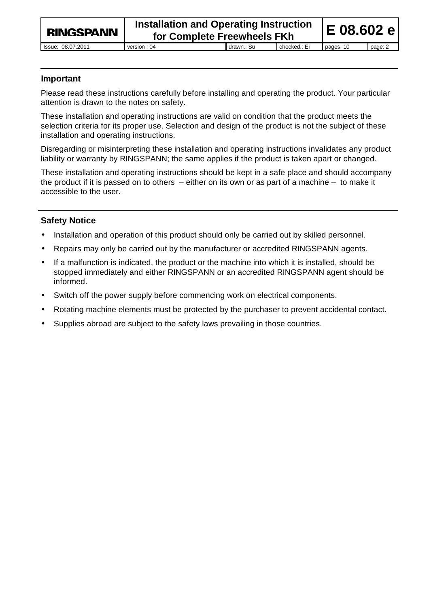#### **Important**

Please read these instructions carefully before installing and operating the product. Your particular attention is drawn to the notes on safety.

These installation and operating instructions are valid on condition that the product meets the selection criteria for its proper use. Selection and design of the product is not the subject of these installation and operating instructions.

Disregarding or misinterpreting these installation and operating instructions invalidates any product liability or warranty by RINGSPANN; the same applies if the product is taken apart or changed.

These installation and operating instructions should be kept in a safe place and should accompany the product if it is passed on to others – either on its own or as part of a machine – to make it accessible to the user.

#### **Safety Notice**

- Installation and operation of this product should only be carried out by skilled personnel.
- Repairs may only be carried out by the manufacturer or accredited RINGSPANN agents.
- If a malfunction is indicated, the product or the machine into which it is installed, should be stopped immediately and either RINGSPANN or an accredited RINGSPANN agent should be informed.
- Switch off the power supply before commencing work on electrical components.
- Rotating machine elements must be protected by the purchaser to prevent accidental contact.
- Supplies abroad are subject to the safety laws prevailing in those countries.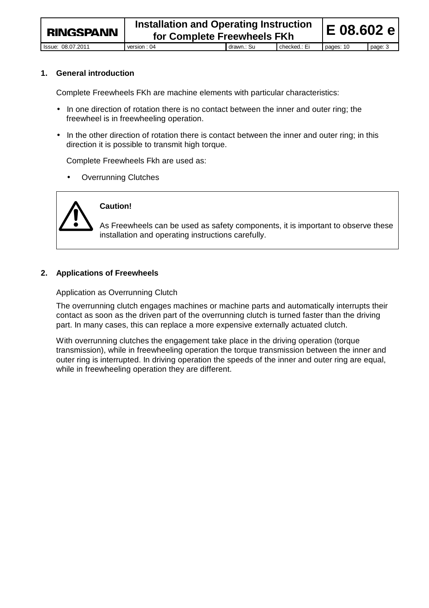**1. General introduction** 

Complete Freewheels FKh are machine elements with particular characteristics:

- In one direction of rotation there is no contact between the inner and outer ring; the freewheel is in freewheeling operation.
- In the other direction of rotation there is contact between the inner and outer ring; in this direction it is possible to transmit high torque.

Complete Freewheels Fkh are used as:

**Overrunning Clutches** 



#### **Caution!**

As Freewheels can be used as safety components, it is important to observe these installation and operating instructions carefully.

#### **2. Applications of Freewheels**

Application as Overrunning Clutch

The overrunning clutch engages machines or machine parts and automatically interrupts their contact as soon as the driven part of the overrunning clutch is turned faster than the driving part. In many cases, this can replace a more expensive externally actuated clutch.

With overrunning clutches the engagement take place in the driving operation (torque transmission), while in freewheeling operation the torque transmission between the inner and outer ring is interrupted. In driving operation the speeds of the inner and outer ring are equal, while in freewheeling operation they are different.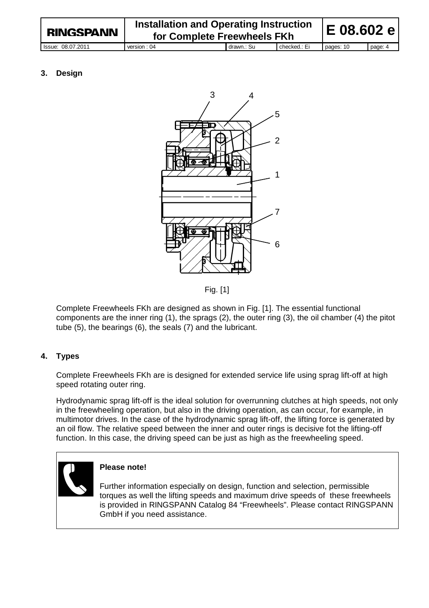| <b>RINGSPANN</b>  | <b>Installation and Operating Instruction</b><br>for Complete Freewheels FKh |            |              | <b>IE 08.602 el</b> |         |
|-------------------|------------------------------------------------------------------------------|------------|--------------|---------------------|---------|
| Issue: 08.07.2011 | version : 04                                                                 | drawn.: Su | checked.: Ei | pages: 10           | page: 4 |

#### **3. Design**



Fig. [1]

Complete Freewheels FKh are designed as shown in Fig. [1]. The essential functional components are the inner ring (1), the sprags (2), the outer ring (3), the oil chamber (4) the pitot tube (5), the bearings (6), the seals (7) and the lubricant.

#### **4. Types**

Complete Freewheels FKh are is designed for extended service life using sprag lift-off at high speed rotating outer ring.

Hydrodynamic sprag lift-off is the ideal solution for overrunning clutches at high speeds, not only in the freewheeling operation, but also in the driving operation, as can occur, for example, in multimotor drives. In the case of the hydrodynamic sprag lift-off, the lifting force is generated by an oil flow. The relative speed between the inner and outer rings is decisive fot the lifting-off function. In this case, the driving speed can be just as high as the freewheeling speed.

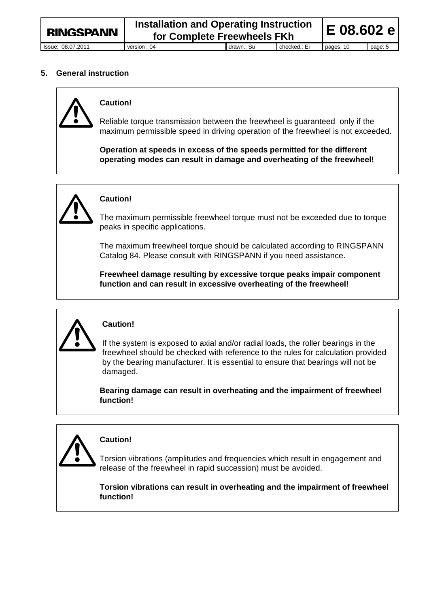#### **5. General instruction**



#### **Caution!**

Reliable torque transmission between the freewheel is guaranteed only if the maximum permissible speed in driving operation of the freewheel is not exceeded.

**Operation at speeds in excess of the speeds permitted for the different operating modes can result in damage and overheating of the freewheel!**



### **Caution!**

The maximum permissible freewheel torque must not be exceeded due to torque peaks in specific applications.

The maximum freewheel torque should be calculated according to RINGSPANN Catalog 84. Please consult with RINGSPANN if you need assistance.

**Freewheel damage resulting by excessive torque peaks impair component function and can result in excessive overheating of the freewheel!** 



#### **Caution!**

If the system is exposed to axial and/or radial loads, the roller bearings in the freewheel should be checked with reference to the rules for calculation provided by the bearing manufacturer. It is essential to ensure that bearings will not be damaged.

**Bearing damage can result in overheating and the impairment of freewheel function!** 



### **Caution!**

Torsion vibrations (amplitudes and frequencies which result in engagement and release of the freewheel in rapid succession) must be avoided.

**Torsion vibrations can result in overheating and the impairment of freewheel function!**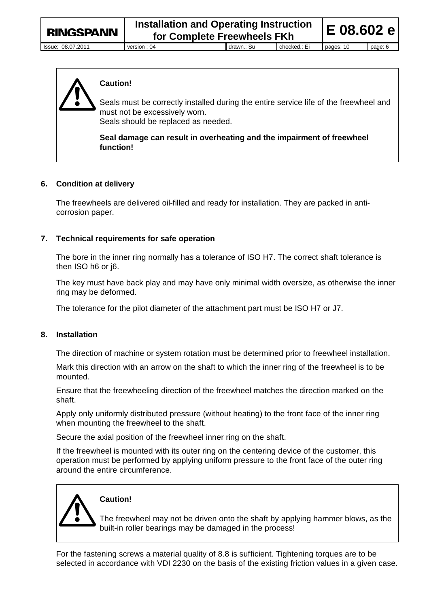

#### **Caution!**

Seals must be correctly installed during the entire service life of the freewheel and must not be excessively worn.

Seals should be replaced as needed.

**Seal damage can result in overheating and the impairment of freewheel function!**

#### **6. Condition at delivery**

The freewheels are delivered oil-filled and ready for installation. They are packed in anticorrosion paper.

#### **7. Technical requirements for safe operation**

The bore in the inner ring normally has a tolerance of ISO H7. The correct shaft tolerance is then ISO h6 or j6.

The key must have back play and may have only minimal width oversize, as otherwise the inner ring may be deformed.

The tolerance for the pilot diameter of the attachment part must be ISO H7 or J7.

#### **8. Installation**

The direction of machine or system rotation must be determined prior to freewheel installation.

Mark this direction with an arrow on the shaft to which the inner ring of the freewheel is to be mounted.

Ensure that the freewheeling direction of the freewheel matches the direction marked on the shaft.

Apply only uniformly distributed pressure (without heating) to the front face of the inner ring when mounting the freewheel to the shaft.

Secure the axial position of the freewheel inner ring on the shaft.

If the freewheel is mounted with its outer ring on the centering device of the customer, this operation must be performed by applying uniform pressure to the front face of the outer ring around the entire circumference.



#### **Caution!**

The freewheel may not be driven onto the shaft by applying hammer blows, as the built-in roller bearings may be damaged in the process!

For the fastening screws a material quality of 8.8 is sufficient. Tightening torques are to be selected in accordance with VDI 2230 on the basis of the existing friction values in a given case.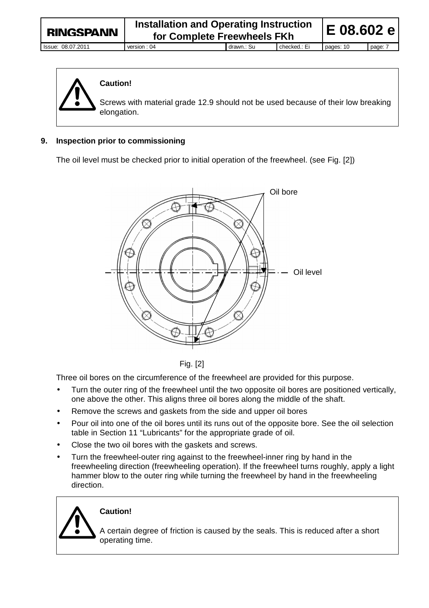

#### **Caution!**

Screws with material grade 12.9 should not be used because of their low breaking elongation.

#### **9. Inspection prior to commissioning**

The oil level must be checked prior to initial operation of the freewheel. (see Fig. [2])



Fig. [2]

Three oil bores on the circumference of the freewheel are provided for this purpose.

- Turn the outer ring of the freewheel until the two opposite oil bores are positioned vertically, one above the other. This aligns three oil bores along the middle of the shaft.
- Remove the screws and gaskets from the side and upper oil bores
- Pour oil into one of the oil bores until its runs out of the opposite bore. See the oil selection table in Section 11 "Lubricants" for the appropriate grade of oil.
- Close the two oil bores with the gaskets and screws.
- Turn the freewheel-outer ring against to the freewheel-inner ring by hand in the freewheeling direction (freewheeling operation). If the freewheel turns roughly, apply a light hammer blow to the outer ring while turning the freewheel by hand in the freewheeling direction.

### **Caution!**

A certain degree of friction is caused by the seals. This is reduced after a short operating time.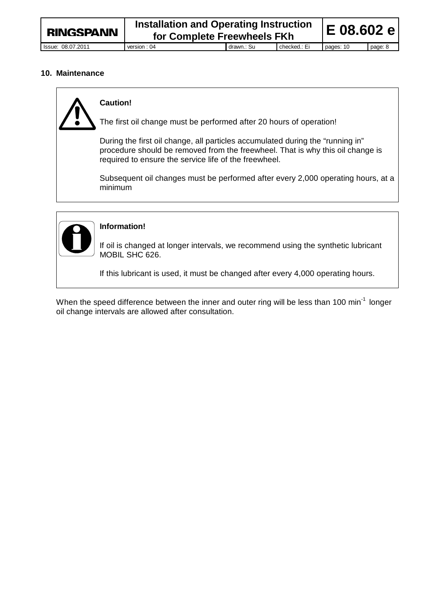#### **10. Maintenance**



#### **Caution!**

The first oil change must be performed after 20 hours of operation!

During the first oil change, all particles accumulated during the "running in" procedure should be removed from the freewheel. That is why this oil change is required to ensure the service life of the freewheel.

Subsequent oil changes must be performed after every 2,000 operating hours, at a minimum



#### **Information!**

If oil is changed at longer intervals, we recommend using the synthetic lubricant MOBIL SHC 626.

If this lubricant is used, it must be changed after every 4,000 operating hours.

When the speed difference between the inner and outer ring will be less than 100 min<sup>-1</sup> longer oil change intervals are allowed after consultation.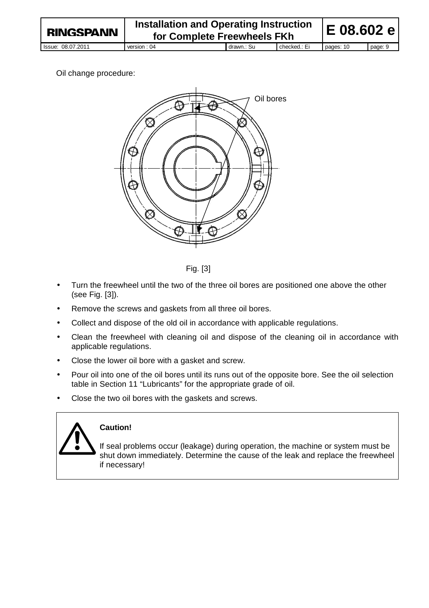#### Oil change procedure:





- Turn the freewheel until the two of the three oil bores are positioned one above the other (see Fig. [3]).
- Remove the screws and gaskets from all three oil bores.
- Collect and dispose of the old oil in accordance with applicable regulations.
- Clean the freewheel with cleaning oil and dispose of the cleaning oil in accordance with applicable regulations.
- Close the lower oil bore with a gasket and screw.
- Pour oil into one of the oil bores until its runs out of the opposite bore. See the oil selection table in Section 11 "Lubricants" for the appropriate grade of oil.
- Close the two oil bores with the gaskets and screws.



#### **Caution!**

If seal problems occur (leakage) during operation, the machine or system must be shut down immediately. Determine the cause of the leak and replace the freewheel if necessary!